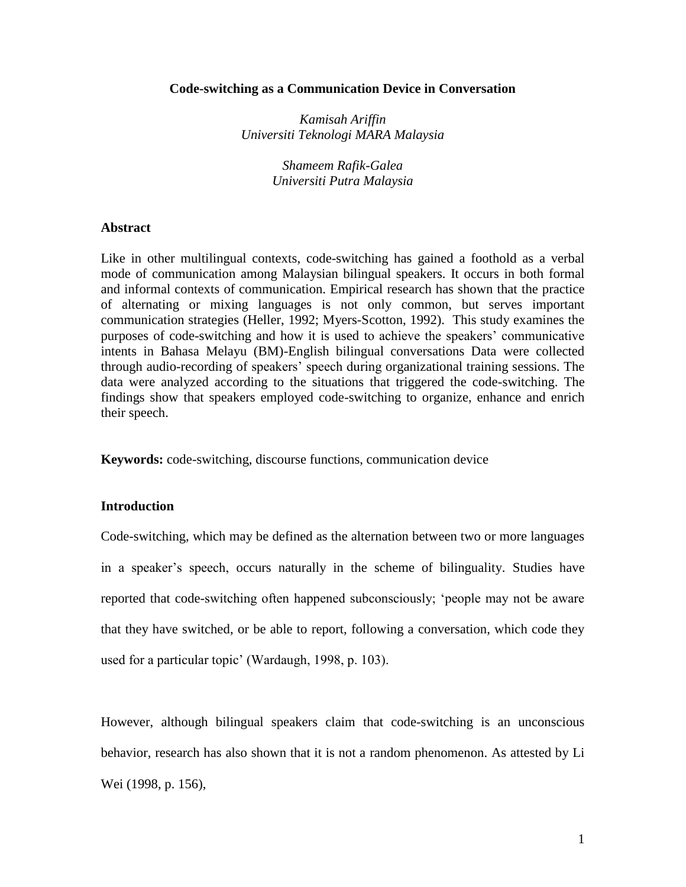### **Code-switching as a Communication Device in Conversation**

*Kamisah Ariffin Universiti Teknologi MARA Malaysia*

> *Shameem Rafik-Galea Universiti Putra Malaysia*

### **Abstract**

Like in other multilingual contexts, code-switching has gained a foothold as a verbal mode of communication among Malaysian bilingual speakers. It occurs in both formal and informal contexts of communication. Empirical research has shown that the practice of alternating or mixing languages is not only common, but serves important communication strategies (Heller, 1992; Myers-Scotton, 1992). This study examines the purposes of code-switching and how it is used to achieve the speakers' communicative intents in Bahasa Melayu (BM)-English bilingual conversations Data were collected through audio-recording of speakers' speech during organizational training sessions. The data were analyzed according to the situations that triggered the code-switching. The findings show that speakers employed code-switching to organize, enhance and enrich their speech.

**Keywords:** code-switching, discourse functions, communication device

#### **Introduction**

Code-switching, which may be defined as the alternation between two or more languages in a speaker's speech, occurs naturally in the scheme of bilinguality. Studies have reported that code-switching often happened subconsciously; 'people may not be aware that they have switched, or be able to report, following a conversation, which code they used for a particular topic' (Wardaugh, 1998, p. 103).

However, although bilingual speakers claim that code-switching is an unconscious behavior, research has also shown that it is not a random phenomenon. As attested by Li Wei (1998, p. 156),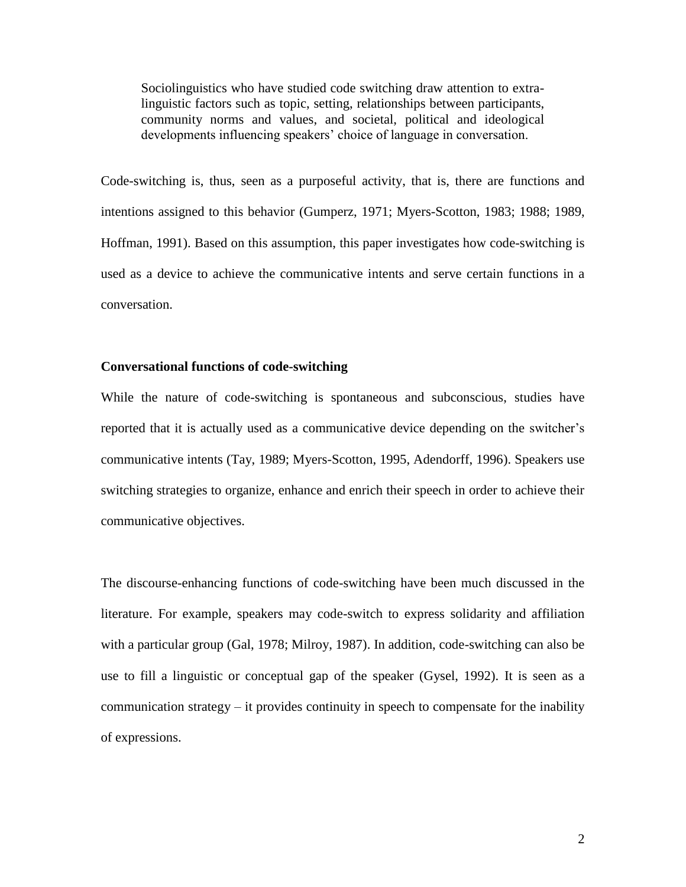Sociolinguistics who have studied code switching draw attention to extralinguistic factors such as topic, setting, relationships between participants, community norms and values, and societal, political and ideological developments influencing speakers' choice of language in conversation.

Code-switching is, thus, seen as a purposeful activity, that is, there are functions and intentions assigned to this behavior (Gumperz, 1971; Myers-Scotton, 1983; 1988; 1989, Hoffman, 1991). Based on this assumption, this paper investigates how code-switching is used as a device to achieve the communicative intents and serve certain functions in a conversation.

### **Conversational functions of code-switching**

While the nature of code-switching is spontaneous and subconscious, studies have reported that it is actually used as a communicative device depending on the switcher's communicative intents (Tay, 1989; Myers-Scotton, 1995, Adendorff, 1996). Speakers use switching strategies to organize, enhance and enrich their speech in order to achieve their communicative objectives.

The discourse-enhancing functions of code-switching have been much discussed in the literature. For example, speakers may code-switch to express solidarity and affiliation with a particular group (Gal, 1978; Milroy, 1987). In addition, code-switching can also be use to fill a linguistic or conceptual gap of the speaker (Gysel, 1992). It is seen as a communication strategy – it provides continuity in speech to compensate for the inability of expressions.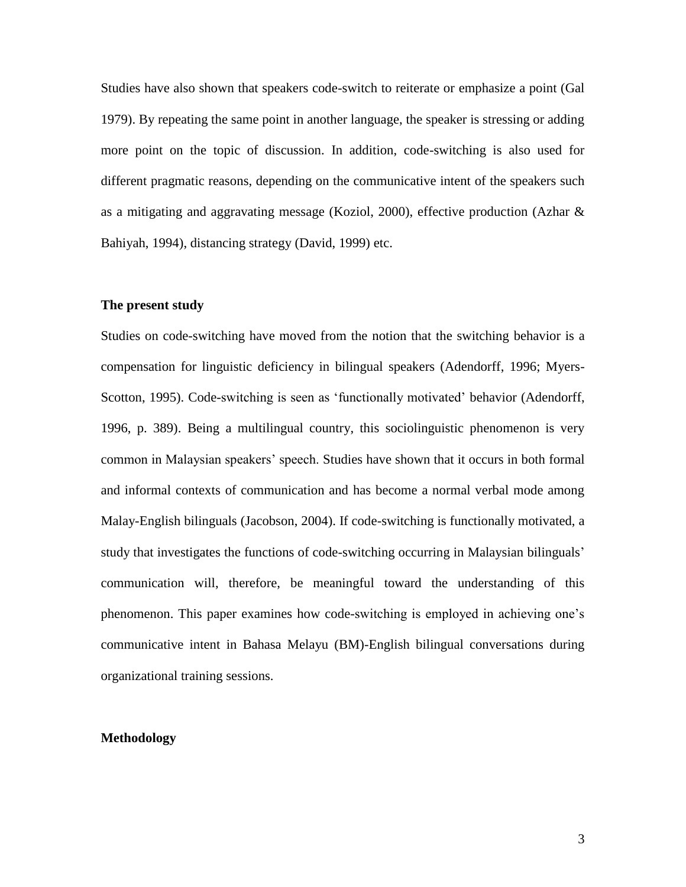Studies have also shown that speakers code-switch to reiterate or emphasize a point (Gal 1979). By repeating the same point in another language, the speaker is stressing or adding more point on the topic of discussion. In addition, code-switching is also used for different pragmatic reasons, depending on the communicative intent of the speakers such as a mitigating and aggravating message (Koziol, 2000), effective production (Azhar & Bahiyah, 1994), distancing strategy (David, 1999) etc.

### **The present study**

Studies on code-switching have moved from the notion that the switching behavior is a compensation for linguistic deficiency in bilingual speakers (Adendorff, 1996; Myers-Scotton, 1995). Code-switching is seen as 'functionally motivated' behavior (Adendorff, 1996, p. 389). Being a multilingual country, this sociolinguistic phenomenon is very common in Malaysian speakers' speech. Studies have shown that it occurs in both formal and informal contexts of communication and has become a normal verbal mode among Malay-English bilinguals (Jacobson, 2004). If code-switching is functionally motivated, a study that investigates the functions of code-switching occurring in Malaysian bilinguals' communication will, therefore, be meaningful toward the understanding of this phenomenon. This paper examines how code-switching is employed in achieving one's communicative intent in Bahasa Melayu (BM)-English bilingual conversations during organizational training sessions.

### **Methodology**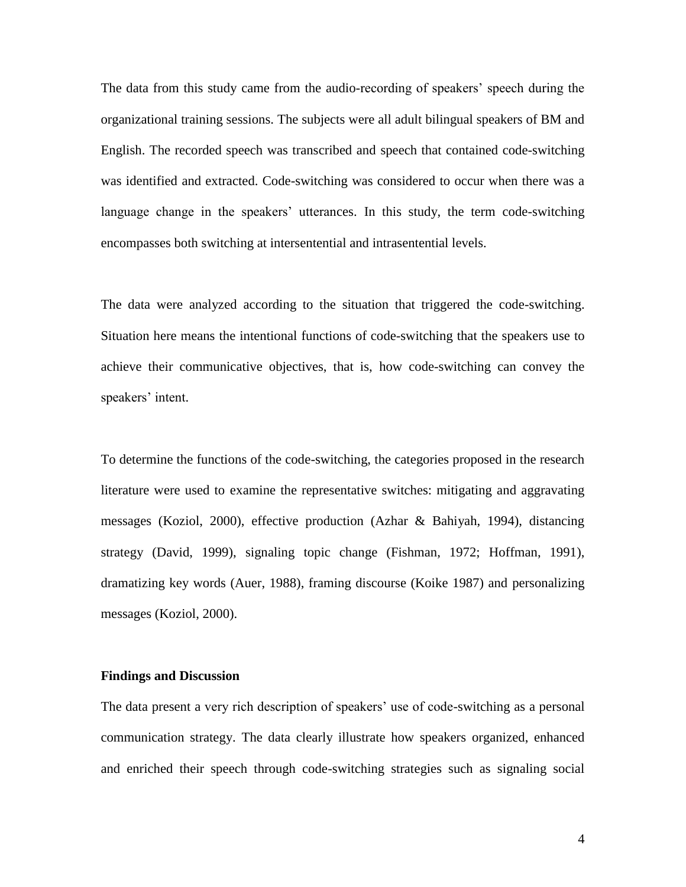The data from this study came from the audio-recording of speakers' speech during the organizational training sessions. The subjects were all adult bilingual speakers of BM and English. The recorded speech was transcribed and speech that contained code-switching was identified and extracted. Code-switching was considered to occur when there was a language change in the speakers' utterances. In this study, the term code-switching encompasses both switching at intersentential and intrasentential levels.

The data were analyzed according to the situation that triggered the code-switching. Situation here means the intentional functions of code-switching that the speakers use to achieve their communicative objectives, that is, how code-switching can convey the speakers' intent.

To determine the functions of the code-switching, the categories proposed in the research literature were used to examine the representative switches: mitigating and aggravating messages (Koziol, 2000), effective production (Azhar & Bahiyah, 1994), distancing strategy (David, 1999), signaling topic change (Fishman, 1972; Hoffman, 1991), dramatizing key words (Auer, 1988), framing discourse (Koike 1987) and personalizing messages (Koziol, 2000).

#### **Findings and Discussion**

The data present a very rich description of speakers' use of code-switching as a personal communication strategy. The data clearly illustrate how speakers organized, enhanced and enriched their speech through code-switching strategies such as signaling social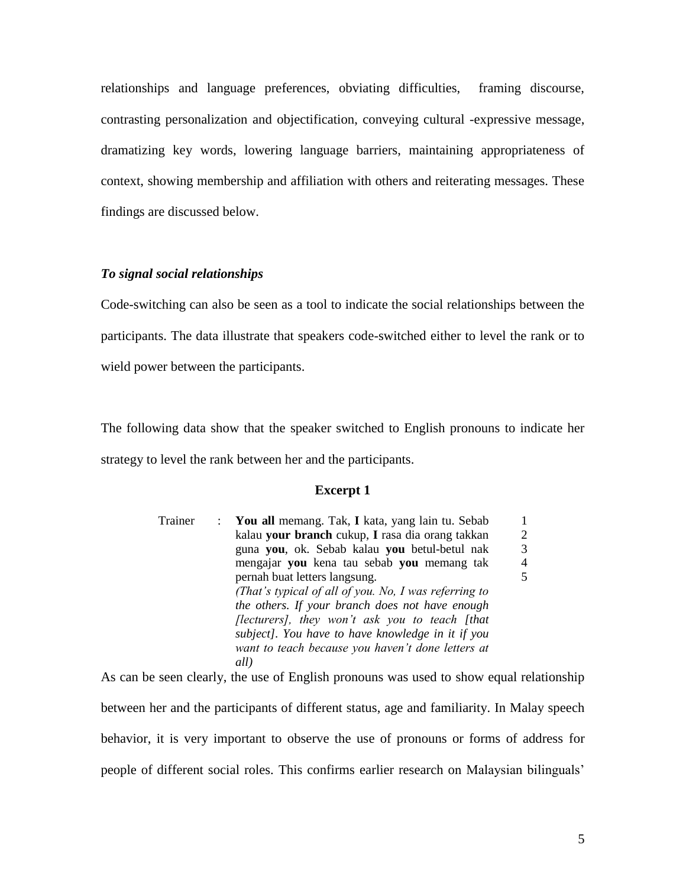relationships and language preferences, obviating difficulties, framing discourse, contrasting personalization and objectification, conveying cultural -expressive message, dramatizing key words, lowering language barriers, maintaining appropriateness of context, showing membership and affiliation with others and reiterating messages. These findings are discussed below.

# *To signal social relationships*

Code-switching can also be seen as a tool to indicate the social relationships between the participants. The data illustrate that speakers code-switched either to level the rank or to wield power between the participants.

The following data show that the speaker switched to English pronouns to indicate her strategy to level the rank between her and the participants.

### **Excerpt 1**

| Trainer | : You all memang. Tak, I kata, yang lain tu. Sebab    |                |
|---------|-------------------------------------------------------|----------------|
|         | kalau your branch cukup, I rasa dia orang takkan      | $\overline{c}$ |
|         | guna you, ok. Sebab kalau you betul-betul nak         | 3              |
|         | mengajar you kena tau sebab you memang tak            | $\overline{4}$ |
|         | pernah buat letters langsung.                         | 5              |
|         | (That's typical of all of you. No, I was referring to |                |
|         | the others. If your branch does not have enough       |                |
|         | [lecturers], they won't ask you to teach [that        |                |
|         | subject]. You have to have knowledge in it if you     |                |
|         | want to teach because you haven't done letters at     |                |
|         | all)                                                  |                |

As can be seen clearly, the use of English pronouns was used to show equal relationship between her and the participants of different status, age and familiarity. In Malay speech behavior, it is very important to observe the use of pronouns or forms of address for people of different social roles. This confirms earlier research on Malaysian bilinguals'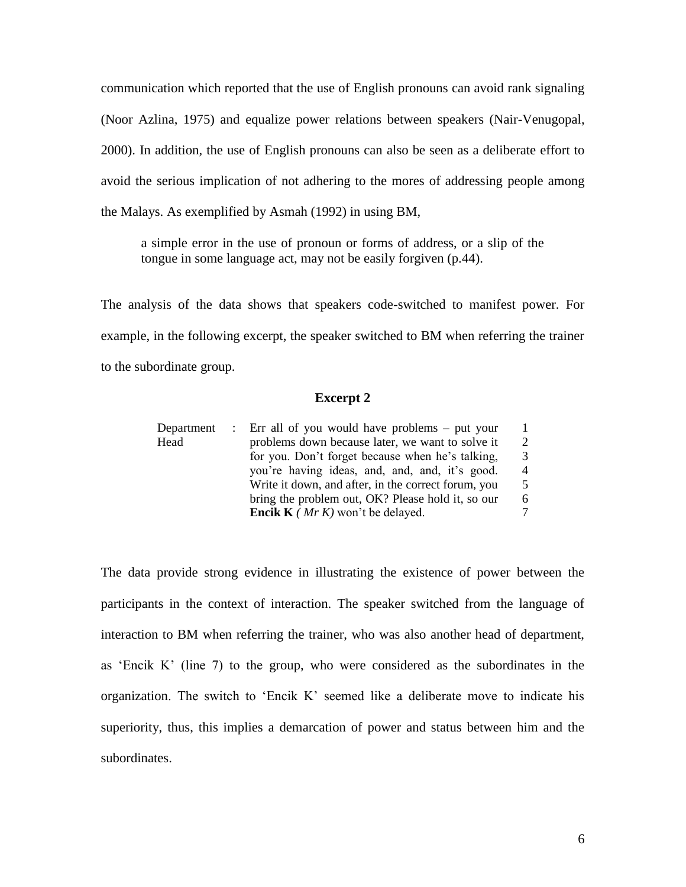communication which reported that the use of English pronouns can avoid rank signaling (Noor Azlina, 1975) and equalize power relations between speakers (Nair-Venugopal, 2000). In addition, the use of English pronouns can also be seen as a deliberate effort to avoid the serious implication of not adhering to the mores of addressing people among the Malays. As exemplified by Asmah (1992) in using BM,

a simple error in the use of pronoun or forms of address, or a slip of the tongue in some language act, may not be easily forgiven (p.44).

The analysis of the data shows that speakers code-switched to manifest power. For example, in the following excerpt, the speaker switched to BM when referring the trainer to the subordinate group.

#### **Excerpt 2**

| Department | : Err all of you would have problems – put your     |                |
|------------|-----------------------------------------------------|----------------|
| Head       | problems down because later, we want to solve it    | 2              |
|            | for you. Don't forget because when he's talking,    | 3              |
|            | you're having ideas, and, and, and, it's good.      | $\overline{4}$ |
|            | Write it down, and after, in the correct forum, you | 5              |
|            | bring the problem out, OK? Please hold it, so our   | 6              |
|            | <b>Encik K</b> ( <i>Mr K</i> ) won't be delayed.    | 7              |

The data provide strong evidence in illustrating the existence of power between the participants in the context of interaction. The speaker switched from the language of interaction to BM when referring the trainer, who was also another head of department, as 'Encik K' (line 7) to the group, who were considered as the subordinates in the organization. The switch to 'Encik K' seemed like a deliberate move to indicate his superiority, thus, this implies a demarcation of power and status between him and the subordinates.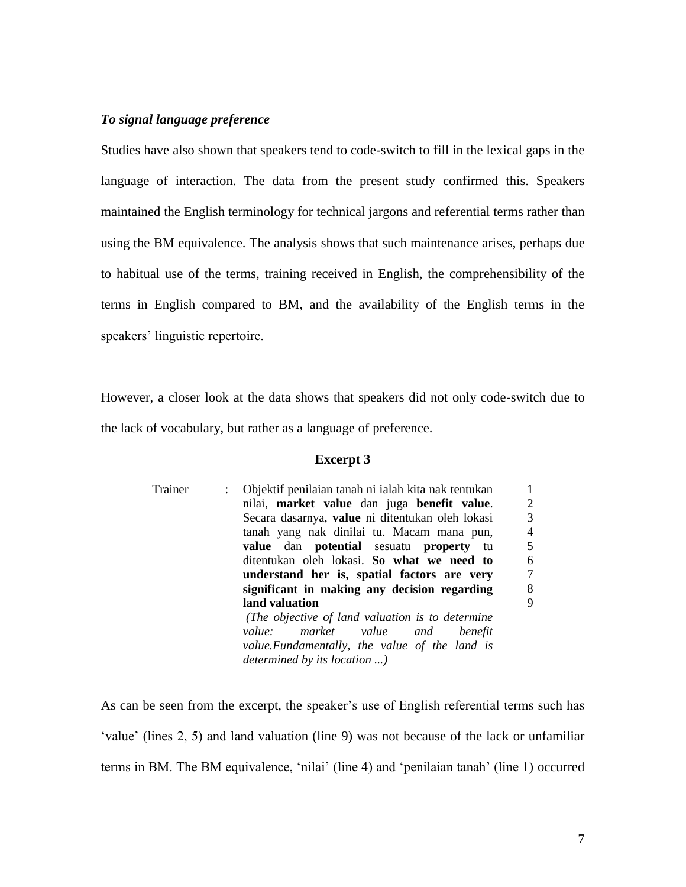### *To signal language preference*

Studies have also shown that speakers tend to code-switch to fill in the lexical gaps in the language of interaction. The data from the present study confirmed this. Speakers maintained the English terminology for technical jargons and referential terms rather than using the BM equivalence. The analysis shows that such maintenance arises, perhaps due to habitual use of the terms, training received in English, the comprehensibility of the terms in English compared to BM, and the availability of the English terms in the speakers' linguistic repertoire.

However, a closer look at the data shows that speakers did not only code-switch due to the lack of vocabulary, but rather as a language of preference.

#### **Excerpt 3**

| Trainer | Objektif penilaian tanah ni ialah kita nak tentukan          |                |
|---------|--------------------------------------------------------------|----------------|
|         | nilai, market value dan juga benefit value.                  | $\overline{2}$ |
|         | Secara dasarnya, value ni ditentukan oleh lokasi             | 3              |
|         | tanah yang nak dinilai tu. Macam mana pun,                   | $\overline{4}$ |
|         | <b>value</b> dan <b>potential</b> sesuatu <b>property</b> tu | 5              |
|         | ditentukan oleh lokasi. So what we need to                   | 6              |
|         | understand her is, spatial factors are very                  | 7              |
|         | significant in making any decision regarding                 | 8              |
|         | land valuation                                               | 9              |
|         | (The objective of land valuation is to determine             |                |
|         | market value and benefit<br>value:                           |                |
|         | value. Fundamentally, the value of the land is               |                |
|         | determined by its location )                                 |                |
|         |                                                              |                |

As can be seen from the excerpt, the speaker's use of English referential terms such has 'value' (lines 2, 5) and land valuation (line 9) was not because of the lack or unfamiliar terms in BM. The BM equivalence, 'nilai' (line 4) and 'penilaian tanah' (line 1) occurred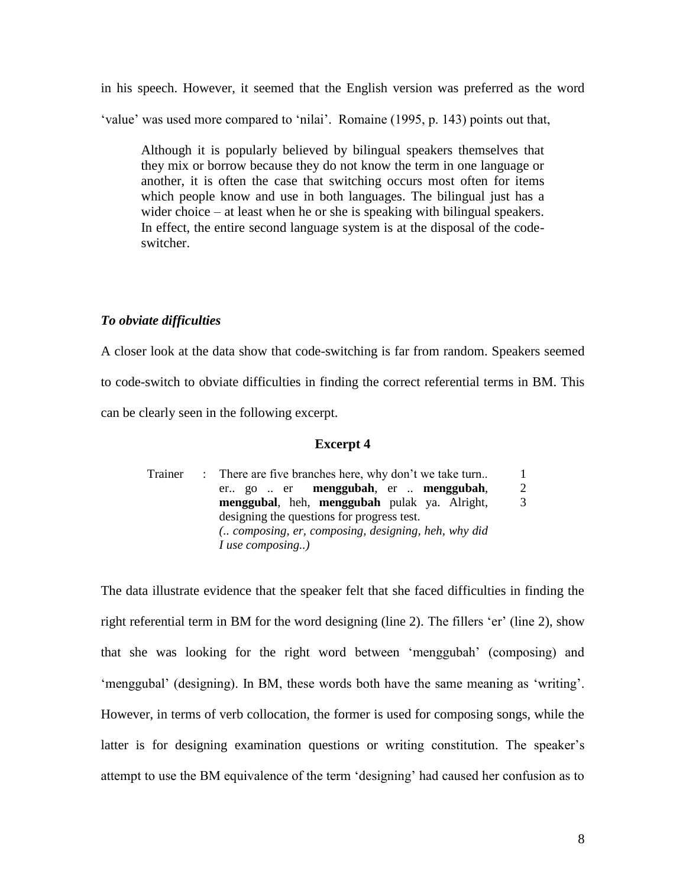in his speech. However, it seemed that the English version was preferred as the word 'value' was used more compared to 'nilai'. Romaine (1995, p. 143) points out that,

Although it is popularly believed by bilingual speakers themselves that they mix or borrow because they do not know the term in one language or another, it is often the case that switching occurs most often for items which people know and use in both languages. The bilingual just has a wider choice – at least when he or she is speaking with bilingual speakers. In effect, the entire second language system is at the disposal of the codeswitcher.

### *To obviate difficulties*

A closer look at the data show that code-switching is far from random. Speakers seemed to code-switch to obviate difficulties in finding the correct referential terms in BM. This can be clearly seen in the following excerpt.

### **Excerpt 4**

| Trainer | : There are five branches here, why don't we take turn |   |  |
|---------|--------------------------------------------------------|---|--|
|         | er go  er <b>menggubah</b> , er <b>menggubah</b> ,     | 2 |  |
|         | menggubal, heh, menggubah pulak ya. Alright,           | 3 |  |
|         | designing the questions for progress test.             |   |  |
|         | ( composing, er, composing, designing, heh, why did    |   |  |
|         | $I$ use composing)                                     |   |  |

The data illustrate evidence that the speaker felt that she faced difficulties in finding the right referential term in BM for the word designing (line 2). The fillers 'er' (line 2), show that she was looking for the right word between 'menggubah' (composing) and 'menggubal' (designing). In BM, these words both have the same meaning as 'writing'. However, in terms of verb collocation, the former is used for composing songs, while the latter is for designing examination questions or writing constitution. The speaker's attempt to use the BM equivalence of the term 'designing' had caused her confusion as to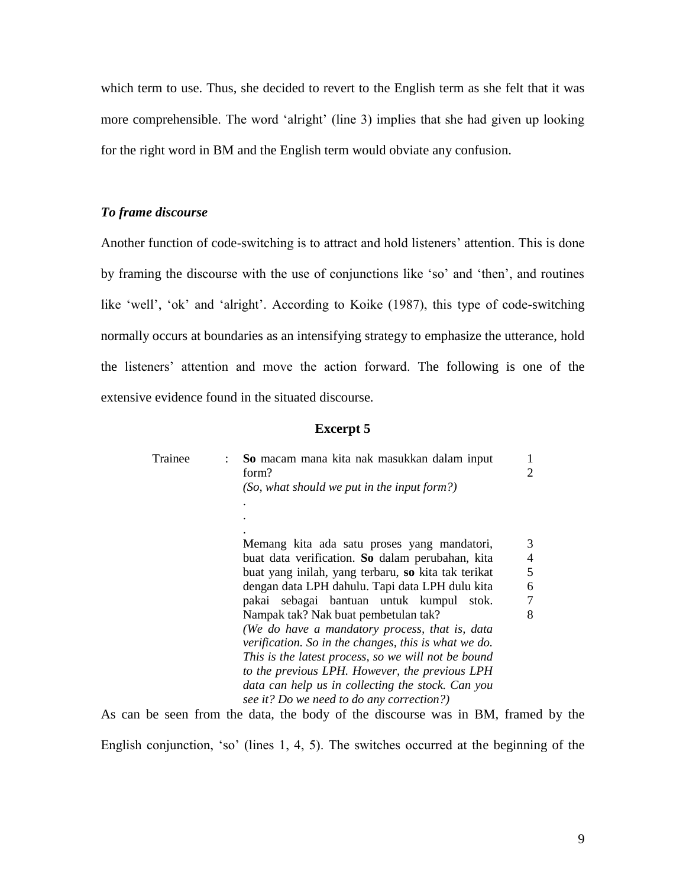which term to use. Thus, she decided to revert to the English term as she felt that it was more comprehensible. The word 'alright' (line 3) implies that she had given up looking for the right word in BM and the English term would obviate any confusion.

# *To frame discourse*

Another function of code-switching is to attract and hold listeners' attention. This is done by framing the discourse with the use of conjunctions like 'so' and 'then', and routines like 'well', 'ok' and 'alright'. According to Koike (1987), this type of code-switching normally occurs at boundaries as an intensifying strategy to emphasize the utterance, hold the listeners' attention and move the action forward. The following is one of the extensive evidence found in the situated discourse.

#### **Excerpt 5**

| Trainee | So macam mana kita nak masukkan dalam input<br>form?                                                                                                                                                                                                                                                                        | 1<br>2 |
|---------|-----------------------------------------------------------------------------------------------------------------------------------------------------------------------------------------------------------------------------------------------------------------------------------------------------------------------------|--------|
|         | (So, what should we put in the input form?)                                                                                                                                                                                                                                                                                 |        |
|         |                                                                                                                                                                                                                                                                                                                             |        |
|         |                                                                                                                                                                                                                                                                                                                             |        |
|         |                                                                                                                                                                                                                                                                                                                             |        |
|         | Memang kita ada satu proses yang mandatori,                                                                                                                                                                                                                                                                                 | 3      |
|         | buat data verification. So dalam perubahan, kita                                                                                                                                                                                                                                                                            | 4      |
|         | buat yang inilah, yang terbaru, so kita tak terikat                                                                                                                                                                                                                                                                         | 5      |
|         | dengan data LPH dahulu. Tapi data LPH dulu kita                                                                                                                                                                                                                                                                             | 6      |
|         | pakai sebagai bantuan untuk kumpul<br>stok.                                                                                                                                                                                                                                                                                 | 7      |
|         | Nampak tak? Nak buat pembetulan tak?                                                                                                                                                                                                                                                                                        | 8      |
|         | (We do have a mandatory process, that is, data                                                                                                                                                                                                                                                                              |        |
|         | verification. So in the changes, this is what we do.                                                                                                                                                                                                                                                                        |        |
|         | This is the latest process, so we will not be bound                                                                                                                                                                                                                                                                         |        |
|         | to the previous LPH. However, the previous LPH                                                                                                                                                                                                                                                                              |        |
|         | data can help us in collecting the stock. Can you                                                                                                                                                                                                                                                                           |        |
|         | see it? Do we need to do any correction?)                                                                                                                                                                                                                                                                                   |        |
|         | $\mathbf{1}$ , $\mathbf{1}$ , $\mathbf{1}$ , $\mathbf{1}$ , $\mathbf{1}$ , $\mathbf{1}$ , $\mathbf{1}$ , $\mathbf{1}$ , $\mathbf{1}$ , $\mathbf{1}$ , $\mathbf{1}$ , $\mathbf{1}$ , $\mathbf{1}$ , $\mathbf{1}$ , $\mathbf{1}$ , $\mathbf{1}$ , $\mathbf{1}$ , $\mathbf{1}$ , $\mathbf{1}$ , $\mathbf{1}$ ,<br>$\mathbf{L}$ |        |

As can be seen from the data, the body of the discourse was in BM, framed by the English conjunction, 'so' (lines 1, 4, 5). The switches occurred at the beginning of the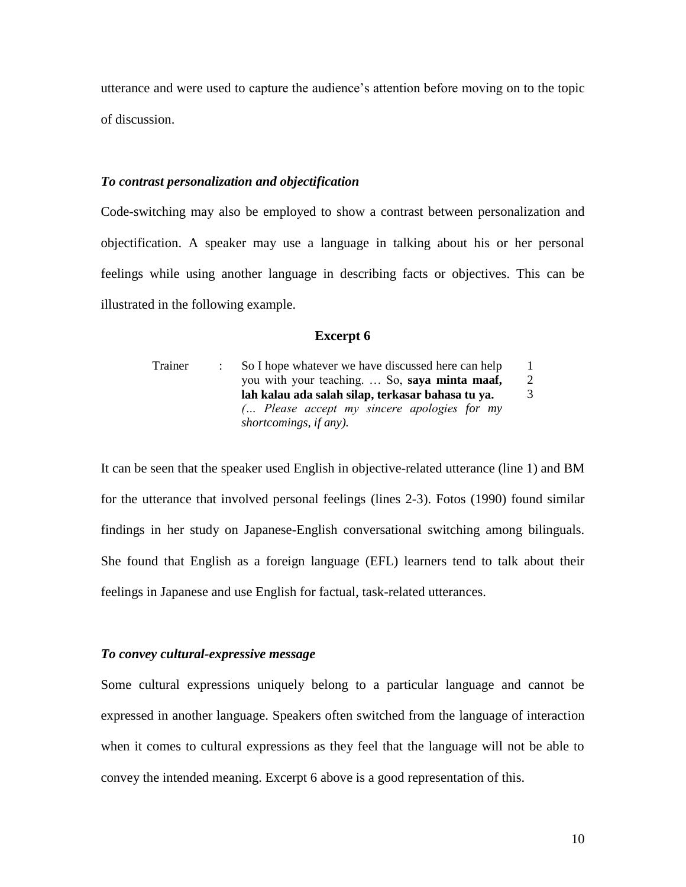utterance and were used to capture the audience's attention before moving on to the topic of discussion.

### *To contrast personalization and objectification*

Code-switching may also be employed to show a contrast between personalization and objectification. A speaker may use a language in talking about his or her personal feelings while using another language in describing facts or objectives. This can be illustrated in the following example.

#### **Excerpt 6**

| Trainer | So I hope whatever we have discussed here can help |   |
|---------|----------------------------------------------------|---|
|         | you with your teaching So, say a mint a maaf,      | 2 |
|         | lah kalau ada salah silap, terkasar bahasa tu ya.  |   |
|         | $\ldots$ Please accept my sincere apologies for my |   |
|         | shortcomings, if any).                             |   |

It can be seen that the speaker used English in objective-related utterance (line 1) and BM for the utterance that involved personal feelings (lines 2-3). Fotos (1990) found similar findings in her study on Japanese-English conversational switching among bilinguals. She found that English as a foreign language (EFL) learners tend to talk about their feelings in Japanese and use English for factual, task-related utterances.

### *To convey cultural-expressive message*

Some cultural expressions uniquely belong to a particular language and cannot be expressed in another language. Speakers often switched from the language of interaction when it comes to cultural expressions as they feel that the language will not be able to convey the intended meaning. Excerpt 6 above is a good representation of this.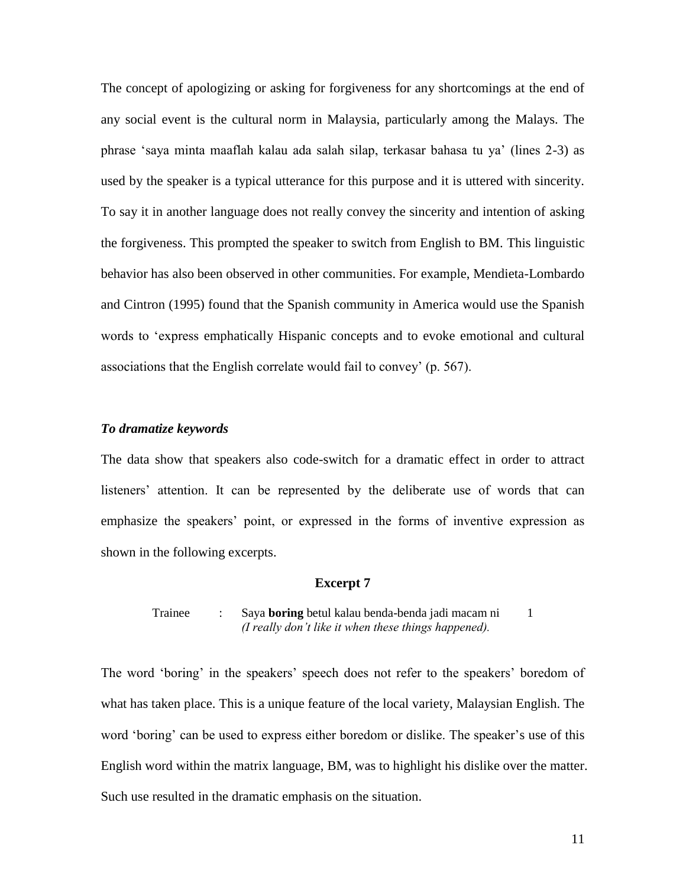The concept of apologizing or asking for forgiveness for any shortcomings at the end of any social event is the cultural norm in Malaysia, particularly among the Malays. The phrase 'saya minta maaflah kalau ada salah silap, terkasar bahasa tu ya' (lines 2-3) as used by the speaker is a typical utterance for this purpose and it is uttered with sincerity. To say it in another language does not really convey the sincerity and intention of asking the forgiveness. This prompted the speaker to switch from English to BM. This linguistic behavior has also been observed in other communities. For example, Mendieta-Lombardo and Cintron (1995) found that the Spanish community in America would use the Spanish words to 'express emphatically Hispanic concepts and to evoke emotional and cultural associations that the English correlate would fail to convey' (p. 567).

### *To dramatize keywords*

The data show that speakers also code-switch for a dramatic effect in order to attract listeners' attention. It can be represented by the deliberate use of words that can emphasize the speakers' point, or expressed in the forms of inventive expression as shown in the following excerpts.

#### **Excerpt 7**

Trainee : Saya **boring** betul kalau benda-benda jadi macam ni *(I really don't like it when these things happened).* 1

The word 'boring' in the speakers' speech does not refer to the speakers' boredom of what has taken place. This is a unique feature of the local variety, Malaysian English. The word 'boring' can be used to express either boredom or dislike. The speaker's use of this English word within the matrix language, BM, was to highlight his dislike over the matter. Such use resulted in the dramatic emphasis on the situation.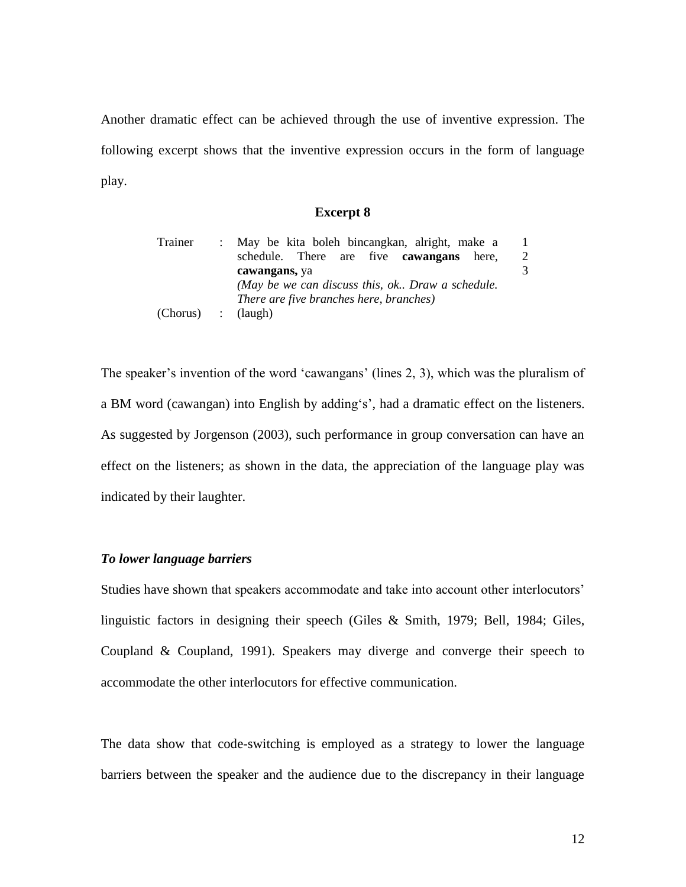Another dramatic effect can be achieved through the use of inventive expression. The following excerpt shows that the inventive expression occurs in the form of language play.

#### **Excerpt 8**

| Trainer            | : May be kita boleh bincangkan, alright, make a   |   |
|--------------------|---------------------------------------------------|---|
|                    | schedule. There are five <b>cawangans</b> here,   | 2 |
|                    | cawangans, ya                                     |   |
|                    | (May be we can discuss this, ok Draw a schedule.) |   |
|                    | There are five branches here, branches)           |   |
| (Chorus) : (laugh) |                                                   |   |

The speaker's invention of the word 'cawangans' (lines 2, 3), which was the pluralism of a BM word (cawangan) into English by adding's', had a dramatic effect on the listeners. As suggested by Jorgenson (2003), such performance in group conversation can have an effect on the listeners; as shown in the data, the appreciation of the language play was indicated by their laughter.

### *To lower language barriers*

Studies have shown that speakers accommodate and take into account other interlocutors' linguistic factors in designing their speech (Giles & Smith, 1979; Bell, 1984; Giles, Coupland & Coupland, 1991). Speakers may diverge and converge their speech to accommodate the other interlocutors for effective communication.

The data show that code-switching is employed as a strategy to lower the language barriers between the speaker and the audience due to the discrepancy in their language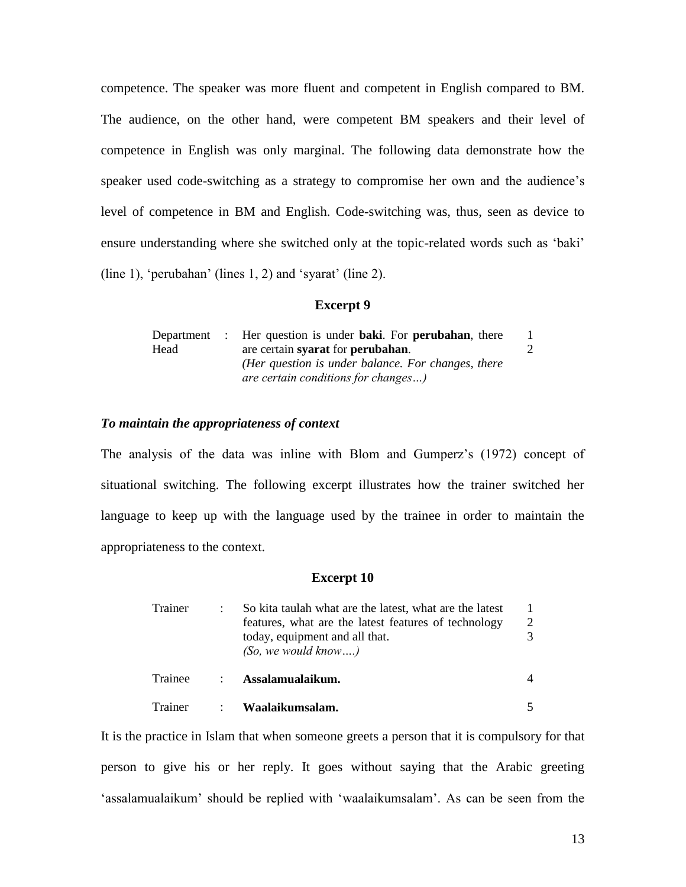competence. The speaker was more fluent and competent in English compared to BM. The audience, on the other hand, were competent BM speakers and their level of competence in English was only marginal. The following data demonstrate how the speaker used code-switching as a strategy to compromise her own and the audience's level of competence in BM and English. Code-switching was, thus, seen as device to ensure understanding where she switched only at the topic-related words such as 'baki' (line 1), 'perubahan' (lines 1, 2) and 'syarat' (line 2).

#### **Excerpt 9**

|      | Department : Her question is under <b>baki</b> . For <b>perubahan</b> , there |  |
|------|-------------------------------------------------------------------------------|--|
| Head | are certain syarat for perubahan.                                             |  |
|      | (Her question is under balance. For changes, there                            |  |
|      | <i>are certain conditions for changes)</i>                                    |  |

#### *To maintain the appropriateness of context*

The analysis of the data was inline with Blom and Gumperz's (1972) concept of situational switching. The following excerpt illustrates how the trainer switched her language to keep up with the language used by the trainee in order to maintain the appropriateness to the context.

### **Excerpt 10**

| Trainer | So kita taulah what are the latest, what are the latest                                                       |  |
|---------|---------------------------------------------------------------------------------------------------------------|--|
|         | features, what are the latest features of technology<br>today, equipment and all that.<br>(So, we would know) |  |
| Trainee | : Assalamualaikum.                                                                                            |  |
| Trainer | : Waalaikumsalam.                                                                                             |  |

It is the practice in Islam that when someone greets a person that it is compulsory for that person to give his or her reply. It goes without saying that the Arabic greeting 'assalamualaikum' should be replied with 'waalaikumsalam'. As can be seen from the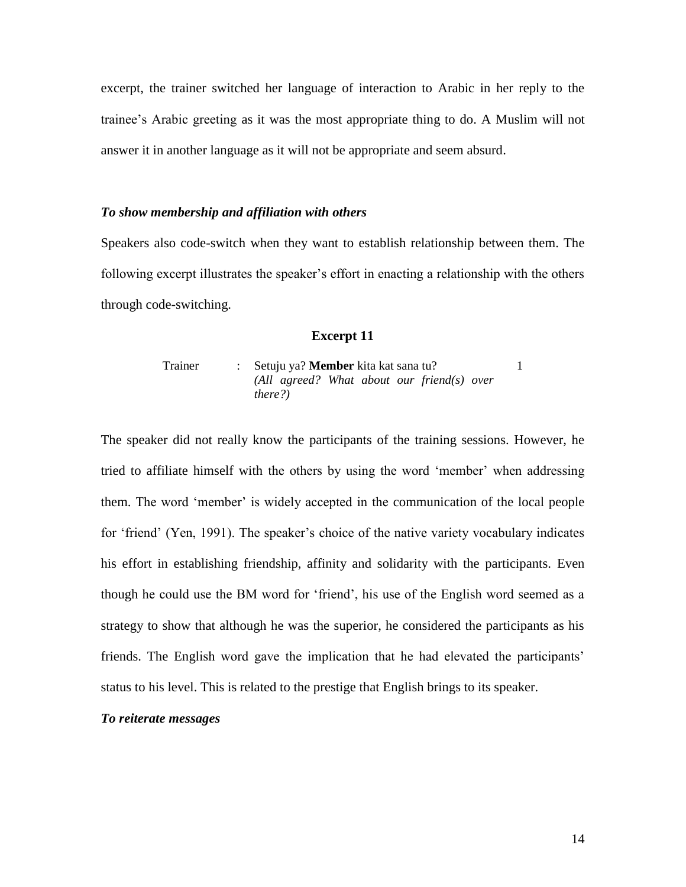excerpt, the trainer switched her language of interaction to Arabic in her reply to the trainee's Arabic greeting as it was the most appropriate thing to do. A Muslim will not answer it in another language as it will not be appropriate and seem absurd.

### *To show membership and affiliation with others*

Speakers also code-switch when they want to establish relationship between them. The following excerpt illustrates the speaker's effort in enacting a relationship with the others through code-switching.

#### **Excerpt 11**

Trainer : Setuju ya? **Member** kita kat sana tu? *(All agreed? What about our friend(s) over there?)* 1

The speaker did not really know the participants of the training sessions. However, he tried to affiliate himself with the others by using the word 'member' when addressing them. The word 'member' is widely accepted in the communication of the local people for 'friend' (Yen, 1991). The speaker's choice of the native variety vocabulary indicates his effort in establishing friendship, affinity and solidarity with the participants. Even though he could use the BM word for 'friend', his use of the English word seemed as a strategy to show that although he was the superior, he considered the participants as his friends. The English word gave the implication that he had elevated the participants' status to his level. This is related to the prestige that English brings to its speaker.

#### *To reiterate messages*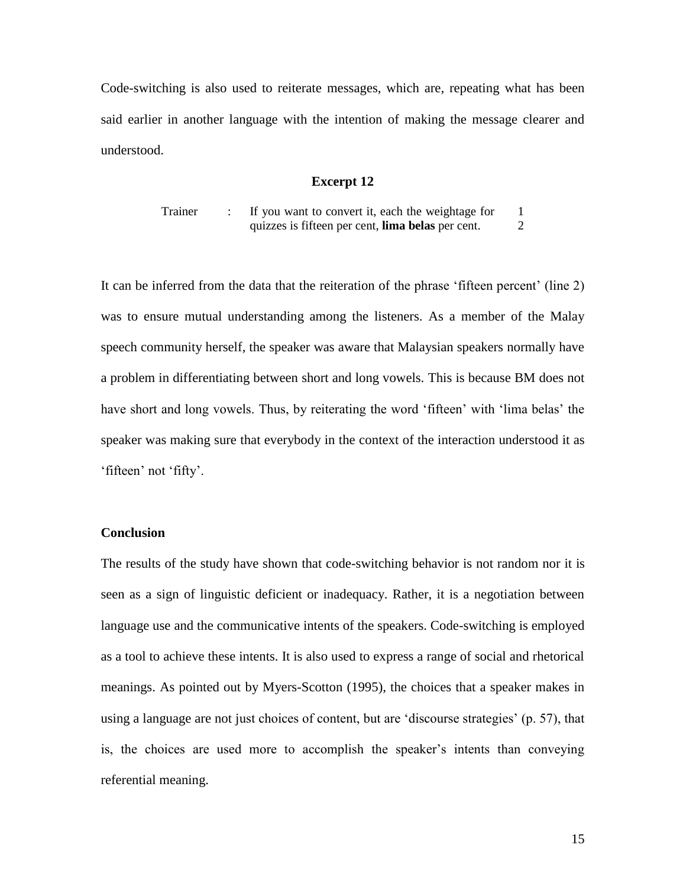Code-switching is also used to reiterate messages, which are, repeating what has been said earlier in another language with the intention of making the message clearer and understood.

### **Excerpt 12**

Trainer : If you want to convert it, each the weightage for quizzes is fifteen per cent, **lima belas** per cent. 1  $\mathcal{D}_{\mathcal{L}}$ 

It can be inferred from the data that the reiteration of the phrase 'fifteen percent' (line 2) was to ensure mutual understanding among the listeners. As a member of the Malay speech community herself, the speaker was aware that Malaysian speakers normally have a problem in differentiating between short and long vowels. This is because BM does not have short and long vowels. Thus, by reiterating the word 'fifteen' with 'lima belas' the speaker was making sure that everybody in the context of the interaction understood it as 'fifteen' not 'fifty'.

### **Conclusion**

The results of the study have shown that code-switching behavior is not random nor it is seen as a sign of linguistic deficient or inadequacy. Rather, it is a negotiation between language use and the communicative intents of the speakers. Code-switching is employed as a tool to achieve these intents. It is also used to express a range of social and rhetorical meanings. As pointed out by Myers-Scotton (1995), the choices that a speaker makes in using a language are not just choices of content, but are 'discourse strategies' (p. 57), that is, the choices are used more to accomplish the speaker's intents than conveying referential meaning.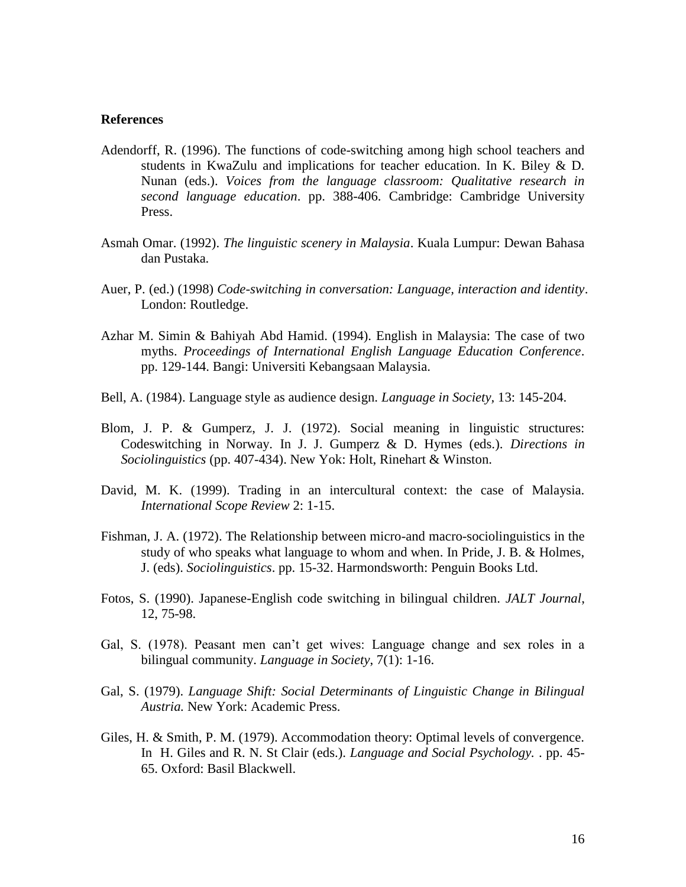#### **References**

- Adendorff, R. (1996). The functions of code-switching among high school teachers and students in KwaZulu and implications for teacher education. In K. Biley & D. Nunan (eds.). *Voices from the language classroom: Qualitative research in second language education*. pp. 388-406. Cambridge: Cambridge University Press.
- Asmah Omar. (1992). *The linguistic scenery in Malaysia*. Kuala Lumpur: Dewan Bahasa dan Pustaka.
- Auer, P. (ed.) (1998) *Code-switching in conversation: Language, interaction and identity*. London: Routledge.
- Azhar M. Simin & Bahiyah Abd Hamid. (1994). English in Malaysia: The case of two myths. *Proceedings of International English Language Education Conference*. pp. 129-144. Bangi: Universiti Kebangsaan Malaysia.
- Bell, A. (1984). Language style as audience design. *Language in Society,* 13: 145-204.
- Blom, J. P. & Gumperz, J. J. (1972). Social meaning in linguistic structures: Codeswitching in Norway. In J. J. Gumperz & D. Hymes (eds.). *Directions in Sociolinguistics* (pp. 407-434). New Yok: Holt, Rinehart & Winston.
- David, M. K. (1999). Trading in an intercultural context: the case of Malaysia. *International Scope Review* 2: 1-15.
- Fishman, J. A. (1972). The Relationship between micro-and macro-sociolinguistics in the study of who speaks what language to whom and when. In Pride, J. B. & Holmes, J. (eds). *Sociolinguistics*. pp. 15-32. Harmondsworth: Penguin Books Ltd.
- Fotos, S. (1990). Japanese-English code switching in bilingual children. *JALT Journal*, 12, 75-98.
- Gal, S. (1978). Peasant men can't get wives: Language change and sex roles in a bilingual community. *Language in Society*, 7(1): 1-16.
- Gal, S. (1979). *Language Shift: Social Determinants of Linguistic Change in Bilingual Austria.* New York: Academic Press.
- Giles, H. & Smith, P. M. (1979). Accommodation theory: Optimal levels of convergence. In H. Giles and R. N. St Clair (eds.). *Language and Social Psychology.* . pp. 45- 65. Oxford: Basil Blackwell.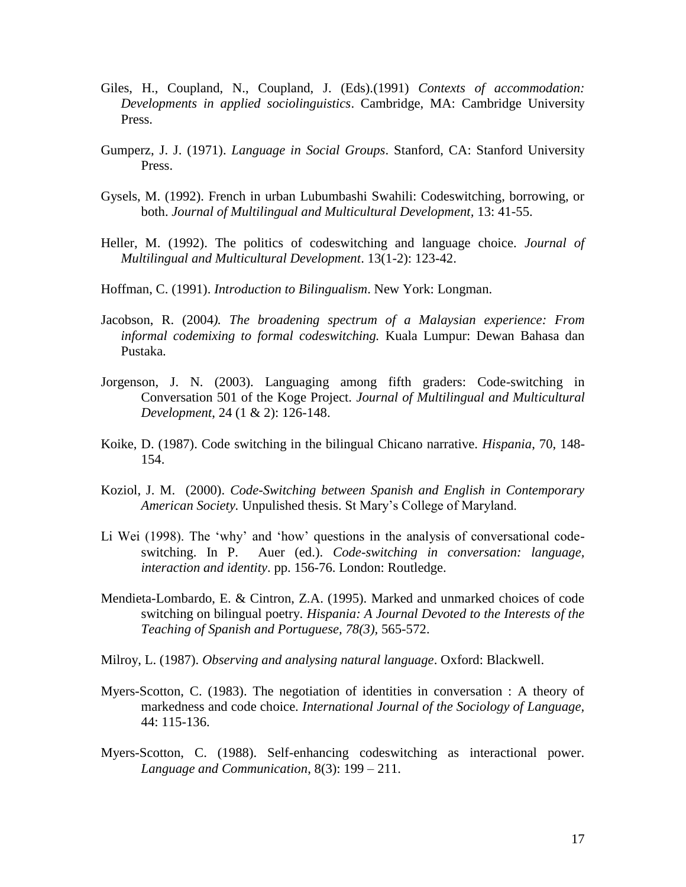- Giles, H., Coupland, N., Coupland, J. (Eds).(1991) *Contexts of accommodation: Developments in applied sociolinguistics*. Cambridge, MA: Cambridge University Press.
- Gumperz, J. J. (1971). *Language in Social Groups*. Stanford, CA: Stanford University Press.
- Gysels, M. (1992). French in urban Lubumbashi Swahili: Codeswitching, borrowing, or both. *Journal of Multilingual and Multicultural Development,* 13: 41-55.
- Heller, M. (1992). The politics of codeswitching and language choice. *Journal of Multilingual and Multicultural Development*. 13(1-2): 123-42.
- Hoffman, C. (1991). *Introduction to Bilingualism*. New York: Longman.
- Jacobson, R. (2004*). The broadening spectrum of a Malaysian experience: From informal codemixing to formal codeswitching.* Kuala Lumpur: Dewan Bahasa dan Pustaka.
- Jorgenson, J. N. (2003). Languaging among fifth graders: Code-switching in Conversation 501 of the Koge Project. *Journal of Multilingual and Multicultural Development*, 24 (1 & 2): 126-148.
- Koike, D. (1987). Code switching in the bilingual Chicano narrative. *Hispania*, 70, 148- 154.
- Koziol, J. M. (2000). *Code-Switching between Spanish and English in Contemporary American Society.* Unpulished thesis. St Mary's College of Maryland.
- Li Wei (1998). The 'why' and 'how' questions in the analysis of conversational codeswitching. In P. Auer (ed.). *Code-switching in conversation: language, interaction and identity*. pp. 156-76. London: Routledge.
- Mendieta-Lombardo, E. & Cintron, Z.A. (1995). Marked and unmarked choices of code switching on bilingual poetry. *Hispania: A Journal Devoted to the Interests of the Teaching of Spanish and Portuguese, 78(3),* 565-572.
- Milroy, L. (1987). *Observing and analysing natural language*. Oxford: Blackwell.
- Myers-Scotton, C. (1983). The negotiation of identities in conversation : A theory of markedness and code choice. *International Journal of the Sociology of Language,* 44: 115-136.
- Myers-Scotton, C. (1988). Self-enhancing codeswitching as interactional power. *Language and Communication*, 8(3): 199 – 211.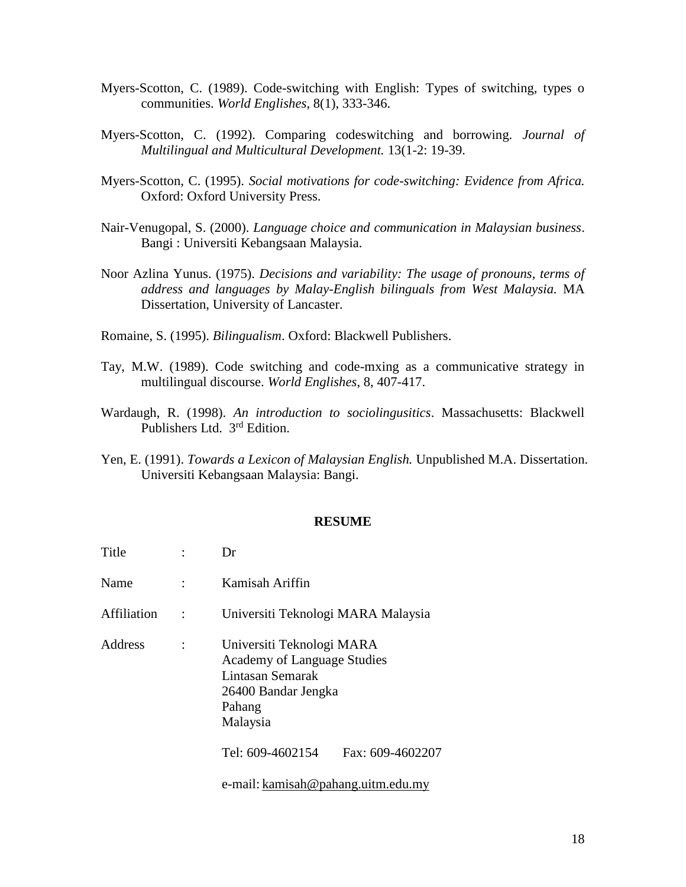- Myers-Scotton, C. (1989). Code-switching with English: Types of switching, types o communities. *World Englishes*, 8(1), 333-346.
- Myers-Scotton, C. (1992). Comparing codeswitching and borrowing. *Journal of Multilingual and Multicultural Development.* 13(1-2: 19-39.
- Myers-Scotton, C. (1995). *Social motivations for code-switching: Evidence from Africa.* Oxford: Oxford University Press.
- Nair-Venugopal, S. (2000). *Language choice and communication in Malaysian business*. Bangi : Universiti Kebangsaan Malaysia.
- Noor Azlina Yunus. (1975). *Decisions and variability: The usage of pronouns, terms of address and languages by Malay-English bilinguals from West Malaysia.* MA Dissertation, University of Lancaster.
- Romaine, S. (1995). *Bilingualism*. Oxford: Blackwell Publishers.
- Tay, M.W. (1989). Code switching and code-mxing as a communicative strategy in multilingual discourse. *World Englishes*, 8, 407-417.
- Wardaugh, R. (1998). *An introduction to sociolingusitics*. Massachusetts: Blackwell Publishers Ltd. 3<sup>rd</sup> Edition.
- Yen, E. (1991). *Towards a Lexicon of Malaysian English.* Unpublished M.A. Dissertation. Universiti Kebangsaan Malaysia: Bangi.

#### **RESUME**

| <b>Title</b>   | Dr                                                                                                                               |
|----------------|----------------------------------------------------------------------------------------------------------------------------------|
| Name           | Kamisah Ariffin                                                                                                                  |
| Affiliation    | Universiti Teknologi MARA Malaysia                                                                                               |
| <b>Address</b> | Universiti Teknologi MARA<br><b>Academy of Language Studies</b><br>Lintasan Semarak<br>26400 Bandar Jengka<br>Pahang<br>Malaysia |
|                | Tel: 609-4602154<br>Fax: 609-4602207                                                                                             |
|                | e-mail: kamisah@pahang.uitm.edu.my                                                                                               |